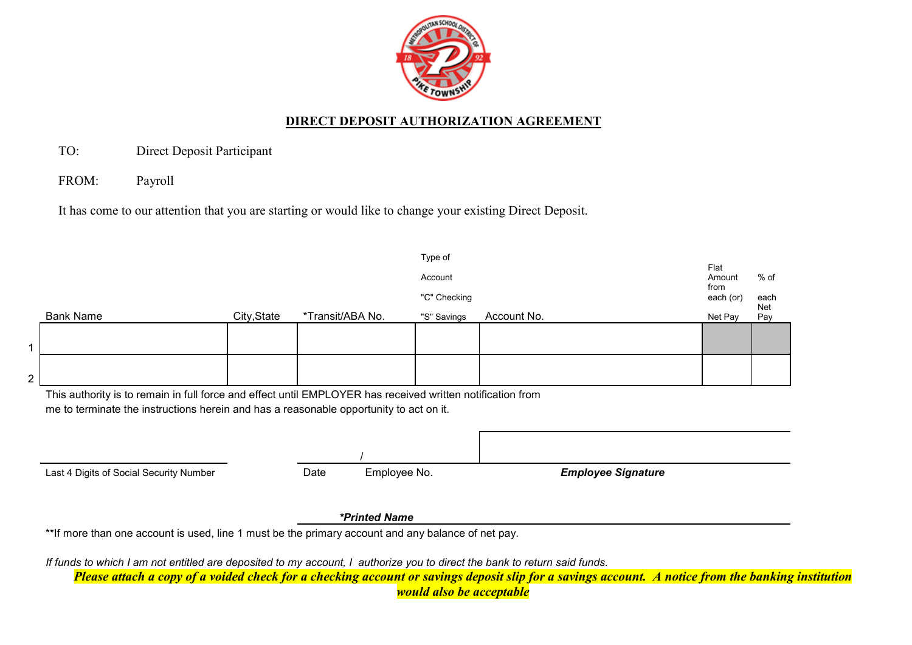

## **DIRECT DEPOSIT AUTHORIZATION AGREEMENT**

TO: Direct Deposit Participant

FROM: Payroll

It has come to our attention that you are starting or would like to change your existing Direct Deposit.

|                                                                                                                                                                                                      |             |                  |               | Type of      |             |                           |                   |                   |
|------------------------------------------------------------------------------------------------------------------------------------------------------------------------------------------------------|-------------|------------------|---------------|--------------|-------------|---------------------------|-------------------|-------------------|
|                                                                                                                                                                                                      |             |                  |               | Account      |             |                           | Flat<br>Amount    | $%$ of            |
|                                                                                                                                                                                                      |             |                  |               | "C" Checking |             |                           | from<br>each (or) | each              |
| <b>Bank Name</b>                                                                                                                                                                                     | City, State | *Transit/ABA No. |               | "S" Savings  | Account No. |                           | Net Pay           | <b>Net</b><br>Pay |
|                                                                                                                                                                                                      |             |                  |               |              |             |                           |                   |                   |
|                                                                                                                                                                                                      |             |                  |               |              |             |                           |                   |                   |
|                                                                                                                                                                                                      |             |                  |               |              |             |                           |                   |                   |
|                                                                                                                                                                                                      |             |                  |               |              |             |                           |                   |                   |
| This authority is to remain in full force and effect until EMPLOYER has received written notification from<br>me to terminate the instructions herein and has a reasonable opportunity to act on it. |             |                  |               |              |             |                           |                   |                   |
|                                                                                                                                                                                                      |             |                  |               |              |             |                           |                   |                   |
|                                                                                                                                                                                                      |             | Date             | Employee No.  |              |             | <b>Employee Signature</b> |                   |                   |
| Last 4 Digits of Social Security Number                                                                                                                                                              |             |                  | *Printed Name |              |             |                           |                   |                   |

*would also be acceptable*